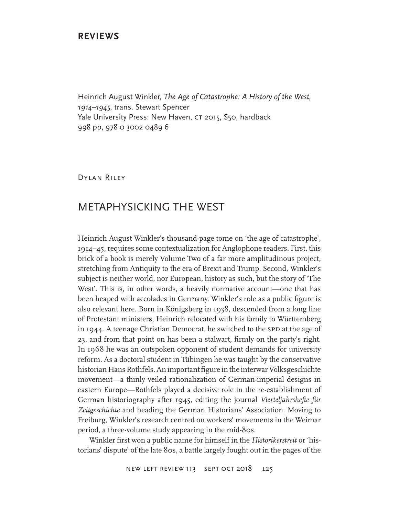# **REVIEWS**

Heinrich August Winkler, *The Age of Catastrophe: A History of the West, 1914–1945*, trans. Stewart Spencer Yale University Press: New Haven, CT 2015, \$50, hardback 998 pp, 978 0 3002 0489 6

Dylan Riley

# METAPHYSICKING THE WEST

Heinrich August Winkler's thousand-page tome on 'the age of catastrophe', 1914–45, requires some contextualization for Anglophone readers. First, this brick of a book is merely Volume Two of a far more amplitudinous project, stretching from Antiquity to the era of Brexit and Trump. Second, Winkler's subject is neither world, nor European, history as such, but the story of 'The West'. This is, in other words, a heavily normative account—one that has been heaped with accolades in Germany. Winkler's role as a public figure is also relevant here. Born in Königsberg in 1938, descended from a long line of Protestant ministers, Heinrich relocated with his family to Württemberg in 1944. A teenage Christian Democrat, he switched to the SPD at the age of 23, and from that point on has been a stalwart, firmly on the party's right. In 1968 he was an outspoken opponent of student demands for university reform. As a doctoral student in Tübingen he was taught by the conservative historian Hans Rothfels. An important figure in the interwar Volksgeschichte movement—a thinly veiled rationalization of German-imperial designs in eastern Europe—Rothfels played a decisive role in the re-establishment of German historiography after 1945, editing the journal *Vierteljahrshefte für Zeitgeschichte* and heading the German Historians' Association. Moving to Freiburg, Winkler's research centred on workers' movements in the Weimar period, a three-volume study appearing in the mid-80s.

Winkler first won a public name for himself in the *Historikerstreit* or 'historians' dispute' of the late 80s, a battle largely fought out in the pages of the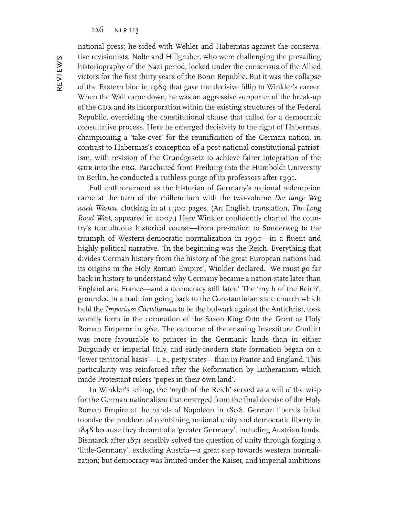national press; he sided with Wehler and Habermas against the conservative revisionists, Nolte and Hillgruber, who were challenging the prevailing historiography of the Nazi period, locked under the consensus of the Allied victors for the first thirty years of the Bonn Republic. But it was the collapse of the Eastern bloc in 1989 that gave the decisive fillip to Winkler's career. When the Wall came down, he was an aggressive supporter of the break-up of the GDR and its incorporation within the existing structures of the Federal Republic, overriding the constitutional clause that called for a democratic consultative process. Here he emerged decisively to the right of Habermas, championing a 'take-over' for the reunification of the German nation, in contrast to Habermas's conception of a post-national constitutional patriotism, with revision of the Grundgesetz to achieve fairer integration of the GDR into the FRG. Parachuted from Freiburg into the Humboldt University in Berlin, he conducted a ruthless purge of its professors after 1991.

Full enthronement as the historian of Germany's national redemption came at the turn of the millennium with the two-volume *Der lange Weg nach Westen*, clocking in at 1,300 pages. (An English translation, *The Long Road West*, appeared in 2007.) Here Winkler confidently charted the country's tumultuous historical course—from pre-nation to Sonderweg to the triumph of Western-democratic normalization in 1990—in a fluent and highly political narrative. 'In the beginning was the Reich. Everything that divides German history from the history of the great European nations had its origins in the Holy Roman Empire', Winkler declared. 'We must go far back in history to understand why Germany became a nation-state later than England and France—and a democracy still later.' The 'myth of the Reich', grounded in a tradition going back to the Constantinian state church which held the *Imperium Christianum* to be the bulwark against the Antichrist, took worldly form in the coronation of the Saxon King Otto the Great as Holy Roman Emperor in 962. The outcome of the ensuing Investiture Conflict was more favourable to princes in the Germanic lands than in either Burgundy or imperial Italy, and early-modern state formation began on a 'lower territorial basis'—i. e., petty states—than in France and England. This particularity was reinforced after the Reformation by Lutheranism which made Protestant rulers 'popes in their own land'.

In Winkler's telling, the 'myth of the Reich' served as a will o' the wisp for the German nationalism that emerged from the final demise of the Holy Roman Empire at the hands of Napoleon in 1806. German liberals failed to solve the problem of combining national unity and democratic liberty in 1848 because they dreamt of a 'greater Germany', including Austrian lands. Bismarck after 1871 sensibly solved the question of unity through forging a 'little-Germany', excluding Austria—a great step towards western normalization; but democracy was limited under the Kaiser, and imperial ambitions

REVIEWS reviews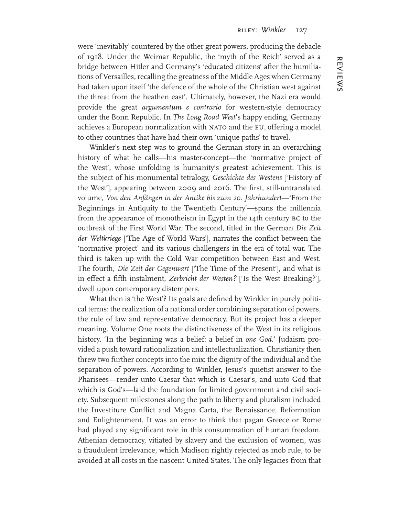were 'inevitably' countered by the other great powers, producing the debacle of 1918. Under the Weimar Republic, the 'myth of the Reich' served as a bridge between Hitler and Germany's 'educated citizens' after the humiliations of Versailles, recalling the greatness of the Middle Ages when Germany had taken upon itself 'the defence of the whole of the Christian west against the threat from the heathen east'. Ultimately, however, the Nazi era would provide the great *argumentum e contrario* for western-style democracy under the Bonn Republic. In *The Long Road West*'s happy ending, Germany achieves a European normalization with NATO and the EU, offering a model to other countries that have had their own 'unique paths' to travel.

Winkler's next step was to ground the German story in an overarching history of what he calls—his master-concept—the 'normative project of the West', whose unfolding is humanity's greatest achievement. This is the subject of his monumental tetralogy, *Geschichte des Westens* ['History of the West'], appearing between 2009 and 2016. The first, still-untranslated volume, *Von den Anfängen in der Antike bis zum 20. Jahrhundert*—'From the Beginnings in Antiquity to the Twentieth Century'—spans the millennia from the appearance of monotheism in Egypt in the 14th century bc to the outbreak of the First World War. The second, titled in the German *Die Zeit der Weltkriege* ['The Age of World Wars'], narrates the conflict between the 'normative project' and its various challengers in the era of total war. The third is taken up with the Cold War competition between East and West. The fourth, *Die Zeit der Gegenwart* ['The Time of the Present'], and what is in effect a fifth instalment, *Zerbricht der Westen?* ['Is the West Breaking?'], dwell upon contemporary distempers.

What then is 'the West'? Its goals are defined by Winkler in purely political terms: the realization of a national order combining separation of powers, the rule of law and representative democracy. But its project has a deeper meaning. Volume One roots the distinctiveness of the West in its religious history. 'In the beginning was a belief: a belief in *one God*.' Judaism provided a push toward rationalization and intellectualization. Christianity then threw two further concepts into the mix: the dignity of the individual and the separation of powers. According to Winkler, Jesus's quietist answer to the Pharisees—render unto Caesar that which is Caesar's, and unto God that which is God's—laid the foundation for limited government and civil society. Subsequent milestones along the path to liberty and pluralism included the Investiture Conflict and Magna Carta, the Renaissance, Reformation and Enlightenment. It was an error to think that pagan Greece or Rome had played any significant role in this consummation of human freedom. Athenian democracy, vitiated by slavery and the exclusion of women, was a fraudulent irrelevance, which Madison rightly rejected as mob rule, to be avoided at all costs in the nascent United States. The only legacies from that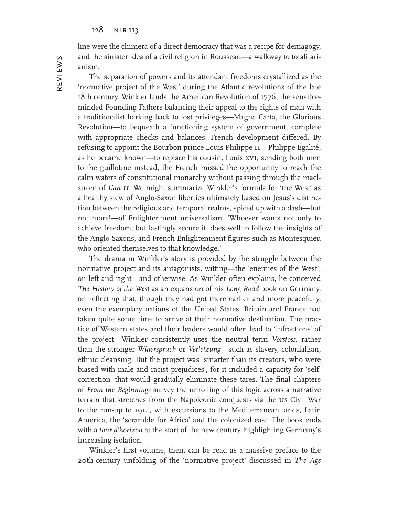line were the chimera of a direct democracy that was a recipe for demagogy, and the sinister idea of a civil religion in Rousseau—a walkway to totalitarianism.

The separation of powers and its attendant freedoms crystallized as the 'normative project of the West' during the Atlantic revolutions of the late 18th century. Winkler lauds the American Revolution of 1776, the sensibleminded Founding Fathers balancing their appeal to the rights of man with a traditionalist harking back to lost privileges—Magna Carta, the Glorious Revolution—to bequeath a functioning system of government, complete with appropriate checks and balances. French development differed. By refusing to appoint the Bourbon prince Louis Philippe ii—Philippe Égalité, as he became known—to replace his cousin, Louis xvi, sending both men to the guillotine instead, the French missed the opportunity to reach the calm waters of constitutional monarchy without passing through the maelstrom of *L'an ii*. We might summarize Winkler's formula for 'the West' as a healthy stew of Anglo-Saxon liberties ultimately based on Jesus's distinction between the religious and temporal realms, spiced up with a dash—but not more!—of Enlightenment universalism. 'Whoever wants not only to achieve freedom, but lastingly secure it, does well to follow the insights of the Anglo-Saxons, and French Enlightenment figures such as Montesquieu who oriented themselves to that knowledge.'

The drama in Winkler's story is provided by the struggle between the normative project and its antagonists, witting—the 'enemies of the West', on left and right—and otherwise. As Winkler often explains, he conceived *The History of the West* as an expansion of his *Long Road* book on Germany, on reflecting that, though they had got there earlier and more peacefully, even the exemplary nations of the United States, Britain and France had taken quite some time to arrive at their normative destination. The practice of Western states and their leaders would often lead to 'infractions' of the project—Winkler consistently uses the neutral term *Vorstoss*, rather than the stronger *Widerspruch* or *Verletzung*—such as slavery, colonialism, ethnic cleansing. But the project was 'smarter than its creators, who were biased with male and racist prejudices', for it included a capacity for 'selfcorrection' that would gradually eliminate these tares. The final chapters of *From the Beginnings* survey the unrolling of this logic across a narrative terrain that stretches from the Napoleonic conquests via the us Civil War to the run-up to 1914, with excursions to the Mediterranean lands, Latin America, the 'scramble for Africa' and the colonized east. The book ends with a *tour d'horizon* at the start of the new century, highlighting Germany's increasing isolation.

Winkler's first volume, then, can be read as a massive preface to the 20th-century unfolding of the 'normative project' discussed in *The Age*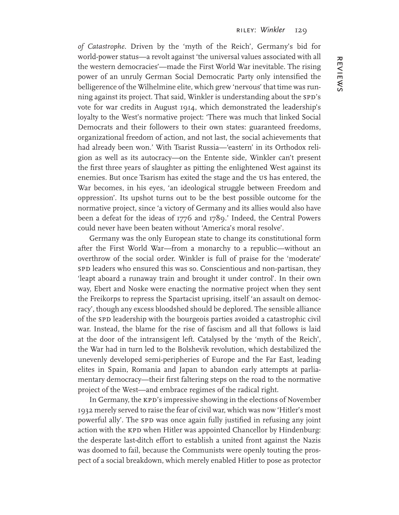*of Catastrophe*. Driven by the 'myth of the Reich', Germany's bid for world-power status—a revolt against 'the universal values associated with all the western democracies'—made the First World War inevitable. The rising power of an unruly German Social Democratic Party only intensified the belligerence of the Wilhelmine elite, which grew 'nervous' that time was running against its project. That said, Winkler is understanding about the SPD's vote for war credits in August 1914, which demonstrated the leadership's loyalty to the West's normative project: 'There was much that linked Social Democrats and their followers to their own states: guaranteed freedoms, organizational freedom of action, and not last, the social achievements that had already been won.' With Tsarist Russia—'eastern' in its Orthodox religion as well as its autocracy—on the Entente side, Winkler can't present the first three years of slaughter as pitting the enlightened West against its enemies. But once Tsarism has exited the stage and the us has entered, the War becomes, in his eyes, 'an ideological struggle between Freedom and oppression'. Its upshot turns out to be the best possible outcome for the normative project, since 'a victory of Germany and its allies would also have been a defeat for the ideas of 1776 and 1789.' Indeed, the Central Powers could never have been beaten without 'America's moral resolve'.

Germany was the only European state to change its constitutional form after the First World War—from a monarchy to a republic—without an overthrow of the social order. Winkler is full of praise for the 'moderate' spp leaders who ensured this was so. Conscientious and non-partisan, they 'leapt aboard a runaway train and brought it under control'. In their own way, Ebert and Noske were enacting the normative project when they sent the Freikorps to repress the Spartacist uprising, itself 'an assault on democracy', though any excess bloodshed should be deplored. The sensible alliance of the SPD leadership with the bourgeois parties avoided a catastrophic civil war. Instead, the blame for the rise of fascism and all that follows is laid at the door of the intransigent left. Catalysed by the 'myth of the Reich', the War had in turn led to the Bolshevik revolution, which destabilized the unevenly developed semi-peripheries of Europe and the Far East, leading elites in Spain, Romania and Japan to abandon early attempts at parliamentary democracy—their first faltering steps on the road to the normative project of the West—and embrace regimes of the radical right.

In Germany, the KPD's impressive showing in the elections of November 1932 merely served to raise the fear of civil war, which was now 'Hitler's most powerful ally'. The spp was once again fully justified in refusing any joint action with the KPD when Hitler was appointed Chancellor by Hindenburg: the desperate last-ditch effort to establish a united front against the Nazis was doomed to fail, because the Communists were openly touting the prospect of a social breakdown, which merely enabled Hitler to pose as protector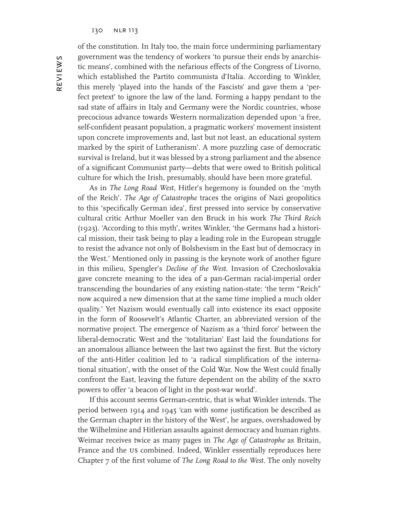reviews

**REVIEWS** 

of the constitution. In Italy too, the main force undermining parliamentary government was the tendency of workers 'to pursue their ends by anarchistic means', combined with the nefarious effects of the Congress of Livorno, which established the Partito communista d'Italia. According to Winkler, this merely 'played into the hands of the Fascists' and gave them a 'perfect pretext' to ignore the law of the land. Forming a happy pendant to the sad state of affairs in Italy and Germany were the Nordic countries, whose precocious advance towards Western normalization depended upon 'a free, self-confident peasant population, a pragmatic workers' movement insistent upon concrete improvements and, last but not least, an educational system marked by the spirit of Lutheranism'. A more puzzling case of democratic survival is Ireland, but it was blessed by a strong parliament and the absence of a significant Communist party—debts that were owed to British political culture for which the Irish, presumably, should have been more grateful.

As in *The Long Road West*, Hitler's hegemony is founded on the 'myth of the Reich'. *The Age of Catastrophe* traces the origins of Nazi geopolitics to this 'specifically German idea', first pressed into service by conservative cultural critic Arthur Moeller van den Bruck in his work *The Third Reich*  (1923). 'According to this myth', writes Winkler, 'the Germans had a historical mission, their task being to play a leading role in the European struggle to resist the advance not only of Bolshevism in the East but of democracy in the West.' Mentioned only in passing is the keynote work of another figure in this milieu, Spengler's *Decline of the West*. Invasion of Czechoslovakia gave concrete meaning to the idea of a pan-German racial-imperial order transcending the boundaries of any existing nation-state: 'the term "Reich" now acquired a new dimension that at the same time implied a much older quality.' Yet Nazism would eventually call into existence its exact opposite in the form of Roosevelt's Atlantic Charter, an abbreviated version of the normative project. The emergence of Nazism as a 'third force' between the liberal-democratic West and the 'totalitarian' East laid the foundations for an anomalous alliance between the last two against the first. But the victory of the anti-Hitler coalition led to 'a radical simplification of the international situation', with the onset of the Cold War. Now the West could finally confront the East, leaving the future dependent on the ability of the NATO powers to offer 'a beacon of light in the post-war world'.

If this account seems German-centric, that is what Winkler intends. The period between 1914 and 1945 'can with some justification be described as the German chapter in the history of the West', he argues, overshadowed by the Wilhelmine and Hitlerian assaults against democracy and human rights. Weimar receives twice as many pages in *The Age of Catastrophe* as Britain, France and the us combined. Indeed, Winkler essentially reproduces here Chapter 7 of the first volume of *The Long Road to the West*. The only novelty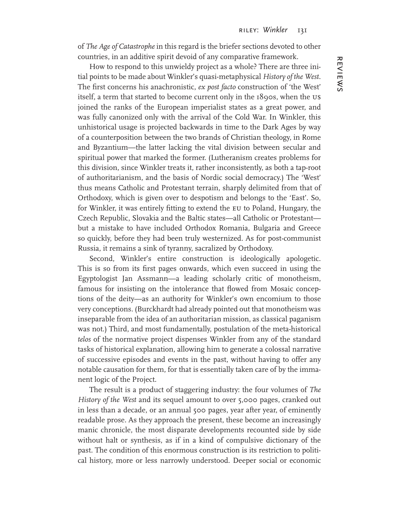of *The Age of Catastrophe* in this regard is the briefer sections devoted to other countries, in an additive spirit devoid of any comparative framework.

How to respond to this unwieldy project as a whole? There are three initial points to be made about Winkler's quasi-metaphysical *History of the West*. The first concerns his anachronistic, *ex post facto* construction of 'the West' itself, a term that started to become current only in the 1890s, when the us joined the ranks of the European imperialist states as a great power, and was fully canonized only with the arrival of the Cold War. In Winkler, this unhistorical usage is projected backwards in time to the Dark Ages by way of a counterposition between the two brands of Christian theology, in Rome and Byzantium—the latter lacking the vital division between secular and spiritual power that marked the former. (Lutheranism creates problems for this division, since Winkler treats it, rather inconsistently, as both a tap-root of authoritarianism, and the basis of Nordic social democracy.) The 'West' thus means Catholic and Protestant terrain, sharply delimited from that of Orthodoxy, which is given over to despotism and belongs to the 'East'. So, for Winkler, it was entirely fitting to extend the EU to Poland, Hungary, the Czech Republic, Slovakia and the Baltic states—all Catholic or Protestant but a mistake to have included Orthodox Romania, Bulgaria and Greece so quickly, before they had been truly westernized. As for post-communist Russia, it remains a sink of tyranny, sacralized by Orthodoxy.

Second, Winkler's entire construction is ideologically apologetic. This is so from its first pages onwards, which even succeed in using the Egyptologist Jan Assmann—a leading scholarly critic of monotheism, famous for insisting on the intolerance that flowed from Mosaic conceptions of the deity—as an authority for Winkler's own encomium to those very conceptions. (Burckhardt had already pointed out that monotheism was inseparable from the idea of an authoritarian mission, as classical paganism was not.) Third, and most fundamentally, postulation of the meta-historical *telos* of the normative project dispenses Winkler from any of the standard tasks of historical explanation, allowing him to generate a colossal narrative of successive episodes and events in the past, without having to offer any notable causation for them, for that is essentially taken care of by the immanent logic of the Project.

The result is a product of staggering industry: the four volumes of *The History of the West* and its sequel amount to over 5,000 pages, cranked out in less than a decade, or an annual 500 pages, year after year, of eminently readable prose. As they approach the present, these become an increasingly manic chronicle, the most disparate developments recounted side by side without halt or synthesis, as if in a kind of compulsive dictionary of the past. The condition of this enormous construction is its restriction to political history, more or less narrowly understood. Deeper social or economic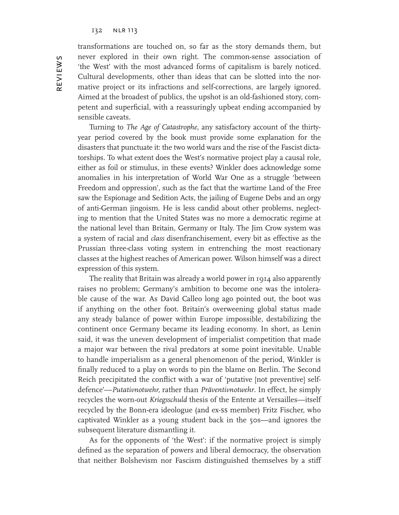transformations are touched on, so far as the story demands them, but never explored in their own right. The common-sense association of 'the West' with the most advanced forms of capitalism is barely noticed. Cultural developments, other than ideas that can be slotted into the normative project or its infractions and self-corrections, are largely ignored. Aimed at the broadest of publics, the upshot is an old-fashioned story, competent and superficial, with a reassuringly upbeat ending accompanied by sensible caveats.

Turning to *The Age of Catastrophe*, any satisfactory account of the thirtyyear period covered by the book must provide some explanation for the disasters that punctuate it: the two world wars and the rise of the Fascist dictatorships. To what extent does the West's normative project play a causal role, either as foil or stimulus, in these events? Winkler does acknowledge some anomalies in his interpretation of World War One as a struggle 'between Freedom and oppression', such as the fact that the wartime Land of the Free saw the Espionage and Sedition Acts, the jailing of Eugene Debs and an orgy of anti-German jingoism. He is less candid about other problems, neglecting to mention that the United States was no more a democratic regime at the national level than Britain, Germany or Italy. The Jim Crow system was a system of racial and *class* disenfranchisement, every bit as effective as the Prussian three-class voting system in entrenching the most reactionary classes at the highest reaches of American power. Wilson himself was a direct expression of this system.

The reality that Britain was already a world power in 1914 also apparently raises no problem; Germany's ambition to become one was the intolerable cause of the war. As David Calleo long ago pointed out, the boot was if anything on the other foot. Britain's overweening global status made any steady balance of power within Europe impossible, destabilizing the continent once Germany became its leading economy. In short, as Lenin said, it was the uneven development of imperialist competition that made a major war between the rival predators at some point inevitable. Unable to handle imperialism as a general phenomenon of the period, Winkler is finally reduced to a play on words to pin the blame on Berlin. The Second Reich precipitated the conflict with a war of 'putative [not preventive] selfdefence'—*Putativnotwehr,* rather than *Präventivnotwehr*. In effect, he simply recycles the worn-out *Kriegsschuld* thesis of the Entente at Versailles—itself recycled by the Bonn-era ideologue (and ex-ss member) Fritz Fischer, who captivated Winkler as a young student back in the 50s—and ignores the subsequent literature dismantling it.

As for the opponents of 'the West': if the normative project is simply defined as the separation of powers and liberal democracy, the observation that neither Bolshevism nor Fascism distinguished themselves by a stiff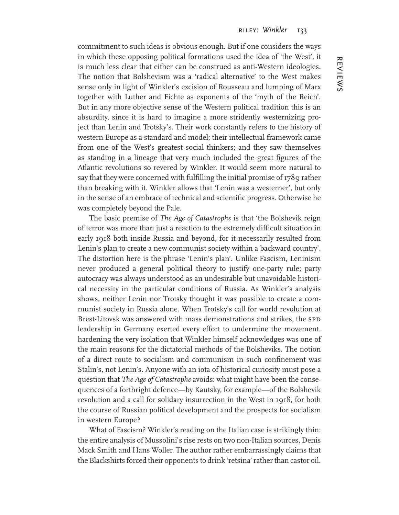commitment to such ideas is obvious enough. But if one considers the ways in which these opposing political formations used the idea of 'the West', it is much less clear that either can be construed as anti-Western ideologies. The notion that Bolshevism was a 'radical alternative' to the West makes sense only in light of Winkler's excision of Rousseau and lumping of Marx together with Luther and Fichte as exponents of the 'myth of the Reich'. But in any more objective sense of the Western political tradition this is an absurdity, since it is hard to imagine a more stridently westernizing project than Lenin and Trotsky's. Their work constantly refers to the history of western Europe as a standard and model; their intellectual framework came from one of the West's greatest social thinkers; and they saw themselves as standing in a lineage that very much included the great figures of the Atlantic revolutions so revered by Winkler. It would seem more natural to say that they were concerned with fulfilling the initial promise of 1789 rather than breaking with it. Winkler allows that 'Lenin was a westerner', but only in the sense of an embrace of technical and scientific progress. Otherwise he was completely beyond the Pale.

The basic premise of *The Age of Catastrophe* is that 'the Bolshevik reign of terror was more than just a reaction to the extremely difficult situation in early 1918 both inside Russia and beyond, for it necessarily resulted from Lenin's plan to create a new communist society within a backward country'. The distortion here is the phrase 'Lenin's plan'. Unlike Fascism, Leninism never produced a general political theory to justify one-party rule; party autocracy was always understood as an undesirable but unavoidable historical necessity in the particular conditions of Russia. As Winkler's analysis shows, neither Lenin nor Trotsky thought it was possible to create a communist society in Russia alone. When Trotsky's call for world revolution at Brest-Litovsk was answered with mass demonstrations and strikes, the SPD leadership in Germany exerted every effort to undermine the movement, hardening the very isolation that Winkler himself acknowledges was one of the main reasons for the dictatorial methods of the Bolsheviks. The notion of a direct route to socialism and communism in such confinement was Stalin's, not Lenin's. Anyone with an iota of historical curiosity must pose a question that *The Age of Catastrophe* avoids: what might have been the consequences of a forthright defence—by Kautsky, for example—of the Bolshevik revolution and a call for solidary insurrection in the West in 1918, for both the course of Russian political development and the prospects for socialism in western Europe?

What of Fascism? Winkler's reading on the Italian case is strikingly thin: the entire analysis of Mussolini's rise rests on two non-Italian sources, Denis Mack Smith and Hans Woller. The author rather embarrassingly claims that the Blackshirts forced their opponents to drink 'retsina' rather than castor oil.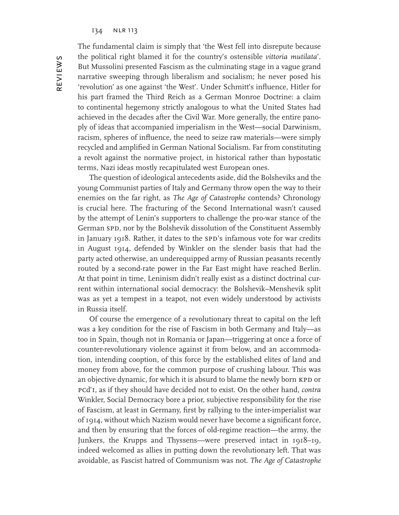The fundamental claim is simply that 'the West fell into disrepute because the political right blamed it for the country's ostensible *vittoria mutilata*'. But Mussolini presented Fascism as the culminating stage in a vague grand narrative sweeping through liberalism and socialism; he never posed his 'revolution' as one against 'the West'. Under Schmitt's influence, Hitler for his part framed the Third Reich as a German Monroe Doctrine: a claim to continental hegemony strictly analogous to what the United States had achieved in the decades after the Civil War. More generally, the entire panoply of ideas that accompanied imperialism in the West—social Darwinism, racism, spheres of influence, the need to seize raw materials—were simply recycled and amplified in German National Socialism. Far from constituting a revolt against the normative project, in historical rather than hypostatic terms, Nazi ideas mostly recapitulated west European ones.

The question of ideological antecedents aside, did the Bolsheviks and the young Communist parties of Italy and Germany throw open the way to their enemies on the far right, as *The Age of Catastrophe* contends? Chronology is crucial here. The fracturing of the Second International wasn't caused by the attempt of Lenin's supporters to challenge the pro-war stance of the German SPD, nor by the Bolshevik dissolution of the Constituent Assembly in January 1918. Rather, it dates to the SPD's infamous vote for war credits in August 1914, defended by Winkler on the slender basis that had the party acted otherwise, an underequipped army of Russian peasants recently routed by a second-rate power in the Far East might have reached Berlin. At that point in time, Leninism didn't really exist as a distinct doctrinal current within international social democracy: the Bolshevik–Menshevik split was as yet a tempest in a teapot, not even widely understood by activists in Russia itself.

Of course the emergence of a revolutionary threat to capital on the left was a key condition for the rise of Fascism in both Germany and Italy—as too in Spain, though not in Romania or Japan—triggering at once a force of counter-revolutionary violence against it from below, and an accommodation, intending cooption, of this force by the established elites of land and money from above, for the common purpose of crushing labour. This was an objective dynamic, for which it is absurd to blame the newly born KPD or pcd'i, as if they should have decided not to exist. On the other hand, *contra* Winkler, Social Democracy bore a prior, subjective responsibility for the rise of Fascism, at least in Germany, first by rallying to the inter-imperialist war of 1914, without which Nazism would never have become a significant force, and then by ensuring that the forces of old-regime reaction—the army, the Junkers, the Krupps and Thyssens—were preserved intact in 1918–19, indeed welcomed as allies in putting down the revolutionary left. That was avoidable, as Fascist hatred of Communism was not. *The Age of Catastrophe*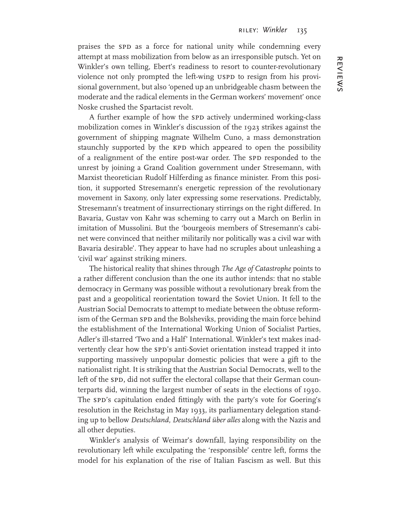praises the SPD as a force for national unity while condemning every attempt at mass mobilization from below as an irresponsible putsch. Yet on Winkler's own telling, Ebert's readiness to resort to counter-revolutionary violence not only prompted the left-wing USPD to resign from his provisional government, but also 'opened up an unbridgeable chasm between the moderate and the radical elements in the German workers' movement' once Noske crushed the Spartacist revolt.

A further example of how the SPD actively undermined working-class mobilization comes in Winkler's discussion of the 1923 strikes against the government of shipping magnate Wilhelm Cuno, a mass demonstration staunchly supported by the KPD which appeared to open the possibility of a realignment of the entire post-war order. The SPD responded to the unrest by joining a Grand Coalition government under Stresemann, with Marxist theoretician Rudolf Hilferding as finance minister. From this position, it supported Stresemann's energetic repression of the revolutionary movement in Saxony, only later expressing some reservations. Predictably, Stresemann's treatment of insurrectionary stirrings on the right differed. In Bavaria, Gustav von Kahr was scheming to carry out a March on Berlin in imitation of Mussolini. But the 'bourgeois members of Stresemann's cabinet were convinced that neither militarily nor politically was a civil war with Bavaria desirable'. They appear to have had no scruples about unleashing a 'civil war' against striking miners.

The historical reality that shines through *The Age of Catastrophe* points to a rather different conclusion than the one its author intends: that no stable democracy in Germany was possible without a revolutionary break from the past and a geopolitical reorientation toward the Soviet Union. It fell to the Austrian Social Democrats to attempt to mediate between the obtuse reformism of the German SPD and the Bolsheviks, providing the main force behind the establishment of the International Working Union of Socialist Parties, Adler's ill-starred 'Two and a Half' International. Winkler's text makes inadvertently clear how the SPD's anti-Soviet orientation instead trapped it into supporting massively unpopular domestic policies that were a gift to the nationalist right. It is striking that the Austrian Social Democrats, well to the left of the SPD, did not suffer the electoral collapse that their German counterparts did, winning the largest number of seats in the elections of 1930. The spd's capitulation ended fittingly with the party's vote for Goering's resolution in the Reichstag in May 1933, its parliamentary delegation standing up to bellow *Deutschland, Deutschland über alles* along with the Nazis and all other deputies.

Winkler's analysis of Weimar's downfall, laying responsibility on the revolutionary left while exculpating the 'responsible' centre left, forms the model for his explanation of the rise of Italian Fascism as well. But this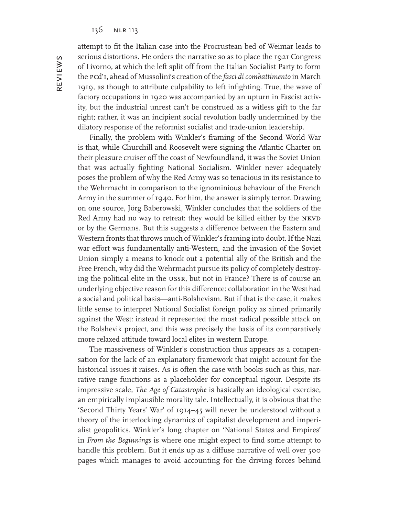attempt to fit the Italian case into the Procrustean bed of Weimar leads to serious distortions. He orders the narrative so as to place the 1921 Congress of Livorno, at which the left split off from the Italian Socialist Party to form the pcd'i, ahead of Mussolini's creation of the *fasci di combattimento* in March 1919, as though to attribute culpability to left infighting. True, the wave of factory occupations in 1920 was accompanied by an upturn in Fascist activity, but the industrial unrest can't be construed as a witless gift to the far right; rather, it was an incipient social revolution badly undermined by the dilatory response of the reformist socialist and trade-union leadership.

Finally, the problem with Winkler's framing of the Second World War is that, while Churchill and Roosevelt were signing the Atlantic Charter on their pleasure cruiser off the coast of Newfoundland, it was the Soviet Union that was actually fighting National Socialism. Winkler never adequately poses the problem of why the Red Army was so tenacious in its resistance to the Wehrmacht in comparison to the ignominious behaviour of the French Army in the summer of 1940. For him, the answer is simply terror. Drawing on one source, Jörg Baberowski, Winkler concludes that the soldiers of the Red Army had no way to retreat: they would be killed either by the NKVD or by the Germans. But this suggests a difference between the Eastern and Western fronts that throws much of Winkler's framing into doubt. If the Nazi war effort was fundamentally anti-Western, and the invasion of the Soviet Union simply a means to knock out a potential ally of the British and the Free French, why did the Wehrmacht pursue its policy of completely destroying the political elite in the ussr, but not in France? There is of course an underlying objective reason for this difference: collaboration in the West had a social and political basis—anti-Bolshevism. But if that is the case, it makes little sense to interpret National Socialist foreign policy as aimed primarily against the West: instead it represented the most radical possible attack on the Bolshevik project, and this was precisely the basis of its comparatively more relaxed attitude toward local elites in western Europe.

The massiveness of Winkler's construction thus appears as a compensation for the lack of an explanatory framework that might account for the historical issues it raises. As is often the case with books such as this, narrative range functions as a placeholder for conceptual rigour. Despite its impressive scale, *The Age of Catastrophe* is basically an ideological exercise, an empirically implausible morality tale. Intellectually, it is obvious that the 'Second Thirty Years' War' of 1914–45 will never be understood without a theory of the interlocking dynamics of capitalist development and imperialist geopolitics. Winkler's long chapter on 'National States and Empires' in *From the Beginnings* is where one might expect to find some attempt to handle this problem. But it ends up as a diffuse narrative of well over 500 pages which manages to avoid accounting for the driving forces behind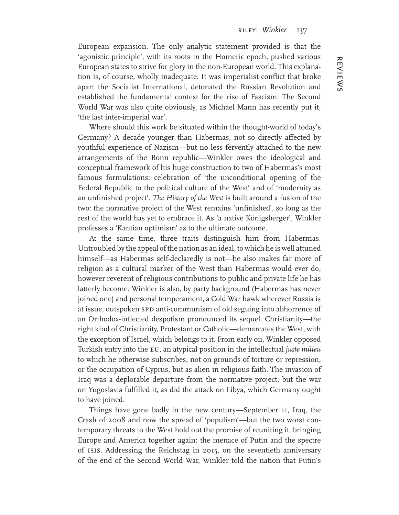European expansion. The only analytic statement provided is that the 'agonistic principle', with its roots in the Homeric epoch, pushed various European states to strive for glory in the non-European world. This explanation is, of course, wholly inadequate. It was imperialist conflict that broke apart the Socialist International, detonated the Russian Revolution and established the fundamental context for the rise of Fascism. The Second World War was also quite obviously, as Michael Mann has recently put it, 'the last inter-imperial war'.

Where should this work be situated within the thought-world of today's Germany? A decade younger than Habermas, not so directly affected by youthful experience of Nazism—but no less fervently attached to the new arrangements of the Bonn republic—Winkler owes the ideological and conceptual framework of his huge construction to two of Habermas's most famous formulations: celebration of 'the unconditional opening of the Federal Republic to the political culture of the West' and of 'modernity as an unfinished project'. *The History of the West* is built around a fusion of the two: the normative project of the West remains 'unfinished', so long as the rest of the world has yet to embrace it. As 'a native Königsberger', Winkler professes a 'Kantian optimism' as to the ultimate outcome.

At the same time, three traits distinguish him from Habermas. Untroubled by the appeal of the nation as an ideal, to which he is well attuned himself—as Habermas self-declaredly is not—he also makes far more of religion as a cultural marker of the West than Habermas would ever do, however reverent of religious contributions to public and private life he has latterly become. Winkler is also, by party background (Habermas has never joined one) and personal temperament, a Cold War hawk wherever Russia is at issue, outspoken SPD anti-communism of old seguing into abhorrence of an Orthodox-inflected despotism pronounced its sequel. Christianity—the right kind of Christianity, Protestant or Catholic—demarcates the West, with the exception of Israel, which belongs to it. From early on, Winkler opposed Turkish entry into the eu, an atypical position in the intellectual *juste milieu* to which he otherwise subscribes, not on grounds of torture or repression, or the occupation of Cyprus, but as alien in religious faith. The invasion of Iraq was a deplorable departure from the normative project, but the war on Yugoslavia fulfilled it, as did the attack on Libya, which Germany ought to have joined.

Things have gone badly in the new century—September 11, Iraq, the Crash of 2008 and now the spread of 'populism'—but the two worst contemporary threats to the West hold out the promise of reuniting it, bringing Europe and America together again: the menace of Putin and the spectre of isis. Addressing the Reichstag in 2015, on the seventieth anniversary of the end of the Second World War, Winkler told the nation that Putin's